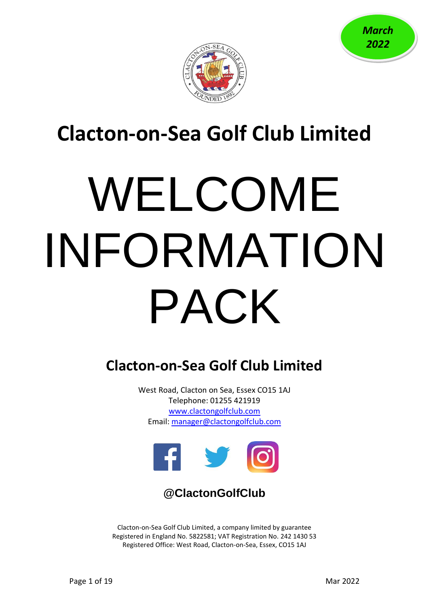



# **Clacton-on-Sea Golf Club Limited**

# WELCOME INFORMATION PACK

# **Clacton-on-Sea Golf Club Limited**

West Road, Clacton on Sea, Essex CO15 1AJ Telephone: 01255 421919 [www.clactongolfclub.com](http://www.clactongolfclub.com/) Email: [manager@clactongolfclub.com](mailto:manager@clactongolfclub.com)



# **@ClactonGolfClub**

Clacton-on-Sea Golf Club Limited, a company limited by guarantee Registered in England No. 5822581; VAT Registration No. 242 1430 53 Registered Office: West Road, Clacton-on-Sea, Essex, CO15 1AJ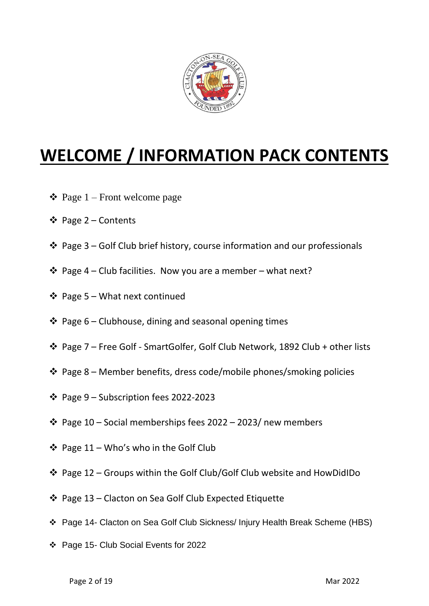

# **WELCOME / INFORMATION PACK CONTENTS**

- $\triangleleft$  Page 1 Front welcome page
- ❖ Page 2 Contents
- ❖ Page 3 Golf Club brief history, course information and our professionals
- ❖ Page 4 Club facilities. Now you are a member what next?
- ❖ Page 5 What next continued
- ❖ Page 6 Clubhouse, dining and seasonal opening times
- ❖ Page 7 Free Golf SmartGolfer, Golf Club Network, 1892 Club + other lists
- ❖ Page 8 Member benefits, dress code/mobile phones/smoking policies
- ❖ Page 9 Subscription fees 2022-2023
- ❖ Page 10 Social memberships fees 2022 2023/ new members
- ❖ Page 11 Who's who in the Golf Club
- ❖ Page 12 Groups within the Golf Club/Golf Club website and HowDidIDo
- ❖ Page 13 Clacton on Sea Golf Club Expected Etiquette
- ❖ Page 14- Clacton on Sea Golf Club Sickness/ Injury Health Break Scheme (HBS)
- ❖ Page 15- Club Social Events for 2022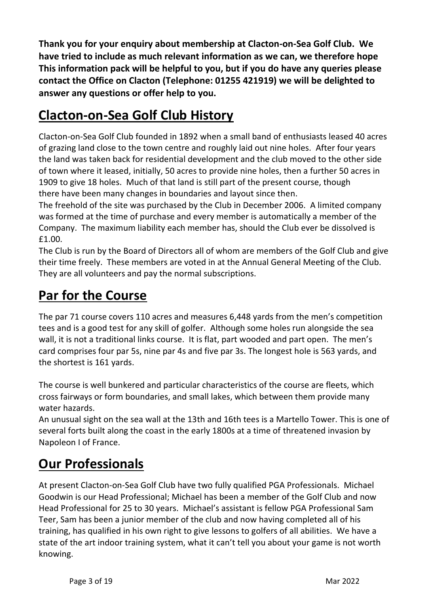**Thank you for your enquiry about membership at Clacton-on-Sea Golf Club. We have tried to include as much relevant information as we can, we therefore hope This information pack will be helpful to you, but if you do have any queries please contact the Office on Clacton (Telephone: 01255 421919) we will be delighted to answer any questions or offer help to you.**

# **Clacton-on-Sea Golf Club History**

Clacton-on-Sea Golf Club founded in 1892 when a small band of enthusiasts leased 40 acres of grazing land close to the town centre and roughly laid out nine holes. After four years the land was taken back for residential development and the club moved to the other side of town where it leased, initially, 50 acres to provide nine holes, then a further 50 acres in 1909 to give 18 holes. Much of that land is still part of the present course, though there have been many changes in boundaries and layout since then.

The freehold of the site was purchased by the Club in December 2006. A limited company was formed at the time of purchase and every member is automatically a member of the Company. The maximum liability each member has, should the Club ever be dissolved is £1.00.

The Club is run by the Board of Directors all of whom are members of the Golf Club and give their time freely. These members are voted in at the Annual General Meeting of the Club. They are all volunteers and pay the normal subscriptions.

## **Par for the Course**

The par 71 course covers 110 acres and measures 6,448 yards from the men's competition tees and is a good test for any skill of golfer. Although some holes run alongside the sea wall, it is not a traditional links course. It is flat, part wooded and part open. The men's card comprises four par 5s, nine par 4s and five par 3s. The longest hole is 563 yards, and the shortest is 161 yards.

The course is well bunkered and particular characteristics of the course are fleets, which cross fairways or form boundaries, and small lakes, which between them provide many water hazards.

An unusual sight on the sea wall at the 13th and 16th tees is a Martello Tower. This is one of several forts built along the coast in the early 1800s at a time of threatened invasion by Napoleon I of France.

# **Our Professionals**

At present Clacton-on-Sea Golf Club have two fully qualified PGA Professionals. Michael Goodwin is our Head Professional; Michael has been a member of the Golf Club and now Head Professional for 25 to 30 years. Michael's assistant is fellow PGA Professional Sam Teer, Sam has been a junior member of the club and now having completed all of his training, has qualified in his own right to give lessons to golfers of all abilities. We have a state of the art indoor training system, what it can't tell you about your game is not worth knowing.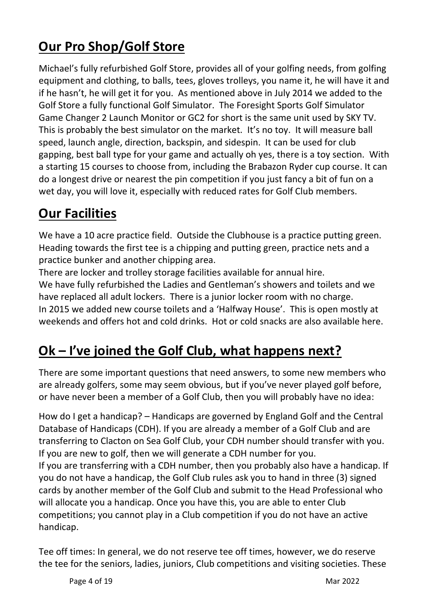# **Our Pro Shop/Golf Store**

Michael's fully refurbished Golf Store, provides all of your golfing needs, from golfing equipment and clothing, to balls, tees, gloves trolleys, you name it, he will have it and if he hasn't, he will get it for you. As mentioned above in July 2014 we added to the Golf Store a fully functional Golf Simulator. The Foresight Sports Golf Simulator Game Changer 2 Launch Monitor or GC2 for short is the same unit used by SKY TV. This is probably the best simulator on the market. It's no toy. It will measure ball speed, launch angle, direction, backspin, and sidespin. It can be used for club gapping, best ball type for your game and actually oh yes, there is a toy section. With a starting 15 courses to choose from, including the Brabazon Ryder cup course. It can do a longest drive or nearest the pin competition if you just fancy a bit of fun on a wet day, you will love it, especially with reduced rates for Golf Club members.

# **Our Facilities**

We have a 10 acre practice field. Outside the Clubhouse is a practice putting green. Heading towards the first tee is a chipping and putting green, practice nets and a practice bunker and another chipping area.

There are locker and trolley storage facilities available for annual hire. We have fully refurbished the Ladies and Gentleman's showers and toilets and we have replaced all adult lockers. There is a junior locker room with no charge. In 2015 we added new course toilets and a 'Halfway House'. This is open mostly at weekends and offers hot and cold drinks. Hot or cold snacks are also available here.

# **Ok – I've joined the Golf Club, what happens next?**

There are some important questions that need answers, to some new members who are already golfers, some may seem obvious, but if you've never played golf before, or have never been a member of a Golf Club, then you will probably have no idea:

How do I get a handicap? – Handicaps are governed by England Golf and the Central Database of Handicaps (CDH). If you are already a member of a Golf Club and are transferring to Clacton on Sea Golf Club, your CDH number should transfer with you. If you are new to golf, then we will generate a CDH number for you.

If you are transferring with a CDH number, then you probably also have a handicap. If you do not have a handicap, the Golf Club rules ask you to hand in three (3) signed cards by another member of the Golf Club and submit to the Head Professional who will allocate you a handicap. Once you have this, you are able to enter Club competitions; you cannot play in a Club competition if you do not have an active handicap.

Tee off times: In general, we do not reserve tee off times, however, we do reserve the tee for the seniors, ladies, juniors, Club competitions and visiting societies. These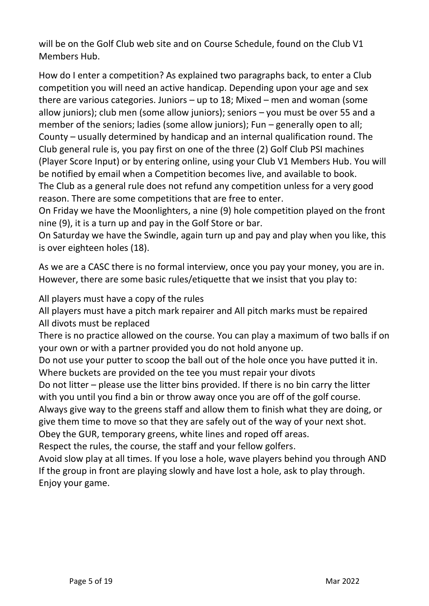will be on the Golf Club web site and on Course Schedule, found on the Club V1 Members Hub.

How do I enter a competition? As explained two paragraphs back, to enter a Club competition you will need an active handicap. Depending upon your age and sex there are various categories. Juniors – up to 18; Mixed – men and woman (some allow juniors); club men (some allow juniors); seniors – you must be over 55 and a member of the seniors; ladies (some allow juniors); Fun – generally open to all; County – usually determined by handicap and an internal qualification round. The Club general rule is, you pay first on one of the three (2) Golf Club PSI machines (Player Score Input) or by entering online, using your Club V1 Members Hub. You will be notified by email when a Competition becomes live, and available to book. The Club as a general rule does not refund any competition unless for a very good reason. There are some competitions that are free to enter.

On Friday we have the Moonlighters, a nine (9) hole competition played on the front nine (9), it is a turn up and pay in the Golf Store or bar.

On Saturday we have the Swindle, again turn up and pay and play when you like, this is over eighteen holes (18).

As we are a CASC there is no formal interview, once you pay your money, you are in. However, there are some basic rules/etiquette that we insist that you play to:

All players must have a copy of the rules

All players must have a pitch mark repairer and All pitch marks must be repaired All divots must be replaced

There is no practice allowed on the course. You can play a maximum of two balls if on your own or with a partner provided you do not hold anyone up.

Do not use your putter to scoop the ball out of the hole once you have putted it in. Where buckets are provided on the tee you must repair your divots

Do not litter – please use the litter bins provided. If there is no bin carry the litter with you until you find a bin or throw away once you are off of the golf course.

Always give way to the greens staff and allow them to finish what they are doing, or give them time to move so that they are safely out of the way of your next shot.

Obey the GUR, temporary greens, white lines and roped off areas. Respect the rules, the course, the staff and your fellow golfers.

Avoid slow play at all times. If you lose a hole, wave players behind you through AND If the group in front are playing slowly and have lost a hole, ask to play through. Enjoy your game.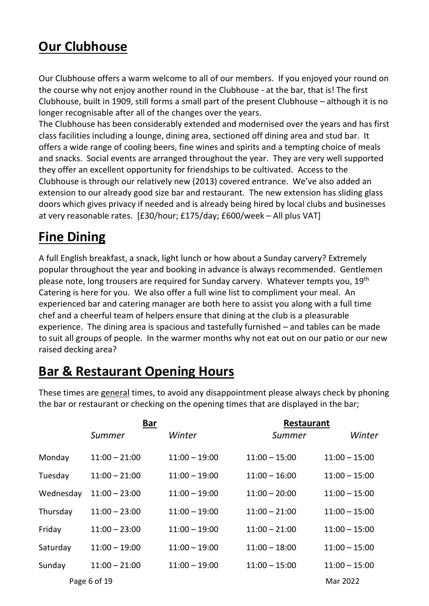# **Our Clubhouse**

Our Clubhouse offers a warm welcome to all of our members. If you enjoyed your round on the course why not enjoy another round in the Clubhouse - at the bar, that is! The first Clubhouse, built in 1909, still forms a small part of the present Clubhouse – although it is no longer recognisable after all of the changes over the years.

The Clubhouse has been considerably extended and modernised over the years and has first class facilities including a lounge, dining area, sectioned off dining area and stud bar. It offers a wide range of cooling beers, fine wines and spirits and a tempting choice of meals and snacks. Social events are arranged throughout the year. They are very well supported they offer an excellent opportunity for friendships to be cultivated. Access to the Clubhouse is through our relatively new (2013) covered entrance. We've also added an extension to our already good size bar and restaurant. The new extension has sliding glass doors which gives privacy if needed and is already being hired by local clubs and businesses at very reasonable rates. [£30/hour; £175/day; £600/week – All plus VAT]

# **Fine Dining**

A full English breakfast, a snack, light lunch or how about a Sunday carvery? Extremely popular throughout the year and booking in advance is always recommended. Gentlemen please note, long trousers are required for Sunday carvery. Whatever tempts you, 19th Catering is here for you. We also offer a full wine list to compliment your meal. An experienced bar and catering manager are both here to assist you along with a full time chef and a cheerful team of helpers ensure that dining at the club is a pleasurable experience. The dining area is spacious and tastefully furnished – and tables can be made to suit all groups of people. In the warmer months why not eat out on our patio or our new raised decking area?

# **Bar & Restaurant Opening Hours**

These times are general times, to avoid any disappointment please always check by phoning the bar or restaurant or checking on the opening times that are displayed in the bar;

|           | <b>Bar</b>      |                 | <b>Restaurant</b> |                 |  |
|-----------|-----------------|-----------------|-------------------|-----------------|--|
|           | Summer          | Winter          | Summer            | Winter          |  |
| Monday    | $11:00 - 21:00$ | $11:00 - 19:00$ | $11:00 - 15:00$   | $11:00 - 15:00$ |  |
| Tuesday   | $11:00 - 21:00$ | $11:00 - 19:00$ | $11:00 - 16:00$   | $11:00 - 15:00$ |  |
| Wednesday | $11:00 - 23:00$ | $11:00 - 19:00$ | $11:00 - 20:00$   | $11:00 - 15:00$ |  |
| Thursday  | $11:00 - 23:00$ | $11:00 - 19:00$ | $11:00 - 21:00$   | $11:00 - 15:00$ |  |
| Friday    | $11:00 - 23:00$ | $11:00 - 19:00$ | $11:00 - 21:00$   | $11:00 - 15:00$ |  |
| Saturday  | $11:00 - 19:00$ | $11:00 - 19:00$ | $11:00 - 18:00$   | $11:00 - 15:00$ |  |
| Sunday    | $11:00 - 21:00$ | $11:00 - 19:00$ | $11:00 - 15:00$   | $11:00 - 15:00$ |  |
|           | Page 6 of 19    |                 |                   | Mar 2022        |  |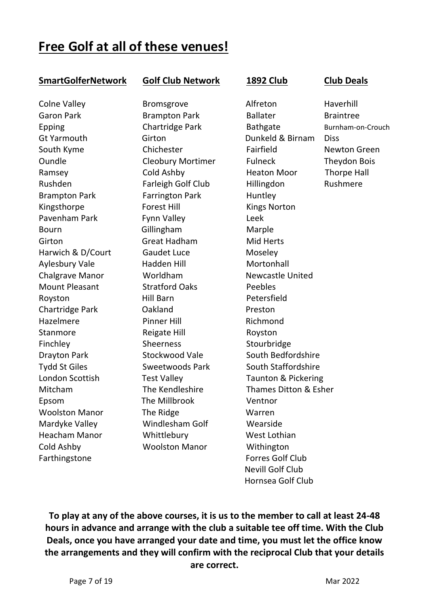## **Free Golf at all of these venues!**

#### **SmartGolferNetwork Golf Club Network 1892 Club Club Deals**

Cold Ashby Woolston Manor Withington Farthingstone **Farthingstone Farthingstone Forres Golf Club** 

Brampton Park Farrington Park Huntley Kingsthorpe **Forest Hill** Kings Norton Pavenham Park Fynn Valley Frank Leek Bourn Gillingham Marple Girton Great Hadham Mid Herts Harwich & D/Court Gaudet Luce Moseley Aylesbury Vale **Hadden Hill** Mortonhall Chalgrave Manor Morldham Newcastle United Mount Pleasant Stratford Oaks Peebles Royston Hill Barn Petersfield Chartridge Park **Dakland** Preston Hazelmere Pinner Hill Richmond Stanmore Reigate Hill Royston Finchley Sheerness Stourbridge Epsom The Millbrook Ventnor Woolston Manor The Ridge Warren Mardyke Valley Windlesham Golf Wearside Heacham Manor Whittlebury West Lothian

Colne Valley **Bromsgrove** Alfreton Haverhill Garon Park **Brampton Park** Ballater Braintree Epping Chartridge Park Bathgate Burnham-on-Crouch Gt Yarmouth Girton Dunkeld & Birnam Diss South Kyme Chichester Fairfield Newton Green Oundle Cleobury Mortimer Fulneck Theydon Bois Ramsey Cold Ashby Heaton Moor Thorpe Hall Rushden Farleigh Golf Club Hillingdon Rushmere Drayton Park Stockwood Vale South Bedfordshire Tydd St Giles Sweetwoods Park South Staffordshire London Scottish Test Valley Taunton & Pickering Mitcham The Kendleshire Thames Ditton & Esher Nevill Golf Club Hornsea Golf Club

**To play at any of the above courses, it is us to the member to call at least 24-48 hours in advance and arrange with the club a suitable tee off time. With the Club Deals, once you have arranged your date and time, you must let the office know the arrangements and they will confirm with the reciprocal Club that your details are correct.**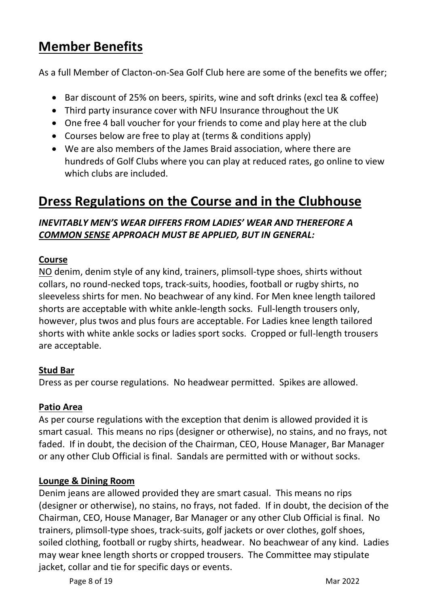# **Member Benefits**

As a full Member of Clacton-on-Sea Golf Club here are some of the benefits we offer;

- Bar discount of 25% on beers, spirits, wine and soft drinks (excl tea & coffee)
- Third party insurance cover with NFU Insurance throughout the UK
- One free 4 ball voucher for your friends to come and play here at the club
- Courses below are free to play at (terms & conditions apply)
- We are also members of the James Braid association, where there are hundreds of Golf Clubs where you can play at reduced rates, go online to view which clubs are included.

# **Dress Regulations on the Course and in the Clubhouse**

#### *INEVITABLY MEN'S WEAR DIFFERS FROM LADIES' WEAR AND THEREFORE A COMMON SENSE APPROACH MUST BE APPLIED, BUT IN GENERAL:*

#### **Course**

NO denim, denim style of any kind, trainers, plimsoll-type shoes, shirts without collars, no round-necked tops, track-suits, hoodies, football or rugby shirts, no sleeveless shirts for men. No beachwear of any kind. For Men knee length tailored shorts are acceptable with white ankle-length socks. Full-length trousers only, however, plus twos and plus fours are acceptable. For Ladies knee length tailored shorts with white ankle socks or ladies sport socks. Cropped or full-length trousers are acceptable.

#### **Stud Bar**

Dress as per course regulations. No headwear permitted. Spikes are allowed.

#### **Patio Area**

As per course regulations with the exception that denim is allowed provided it is smart casual. This means no rips (designer or otherwise), no stains, and no frays, not faded. If in doubt, the decision of the Chairman, CEO, House Manager, Bar Manager or any other Club Official is final. Sandals are permitted with or without socks.

#### **Lounge & Dining Room**

Denim jeans are allowed provided they are smart casual. This means no rips (designer or otherwise), no stains, no frays, not faded. If in doubt, the decision of the Chairman, CEO, House Manager, Bar Manager or any other Club Official is final. No trainers, plimsoll-type shoes, track-suits, golf jackets or over clothes, golf shoes, soiled clothing, football or rugby shirts, headwear. No beachwear of any kind. Ladies may wear knee length shorts or cropped trousers. The Committee may stipulate jacket, collar and tie for specific days or events.

Page 8 of 19 Mar 2022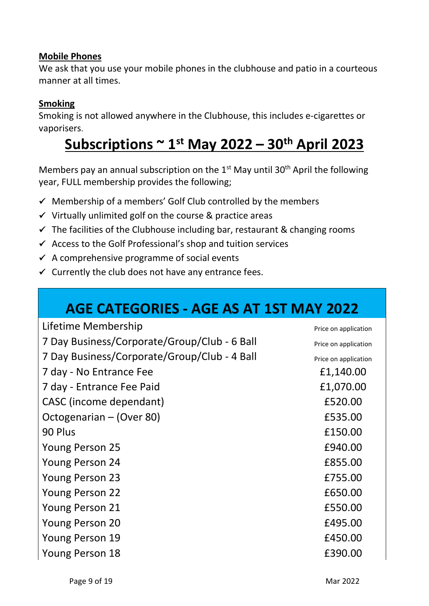#### **Mobile Phones**

We ask that you use your mobile phones in the clubhouse and patio in a courteous manner at all times.

#### **Smoking**

Smoking is not allowed anywhere in the Clubhouse, this includes e-cigarettes or vaporisers.

# **Subscriptions ~ 1st May 2022 – 30th April 2023**

Members pay an annual subscription on the  $1<sup>st</sup>$  May until 30<sup>th</sup> April the following year, FULL membership provides the following;

- $\checkmark$  Membership of a members' Golf Club controlled by the members
- $\checkmark$  Virtually unlimited golf on the course & practice areas
- $\checkmark$  The facilities of the Clubhouse including bar, restaurant & changing rooms
- $\checkmark$  Access to the Golf Professional's shop and tuition services
- $\checkmark$  A comprehensive programme of social events
- $\checkmark$  Currently the club does not have any entrance fees.

# **AGE CATEGORIES - AGE AS AT 1ST MAY 2022**

| Lifetime Membership                          | Price on application |
|----------------------------------------------|----------------------|
| 7 Day Business/Corporate/Group/Club - 6 Ball | Price on application |
| 7 Day Business/Corporate/Group/Club - 4 Ball | Price on application |
| 7 day - No Entrance Fee                      | £1,140.00            |
| 7 day - Entrance Fee Paid                    | £1,070.00            |
| CASC (income dependant)                      | £520.00              |
| Octogenarian - (Over 80)                     | £535.00              |
| 90 Plus                                      | £150.00              |
| <b>Young Person 25</b>                       | £940.00              |
| <b>Young Person 24</b>                       | £855.00              |
| <b>Young Person 23</b>                       | £755.00              |
| <b>Young Person 22</b>                       | £650.00              |
| <b>Young Person 21</b>                       | £550.00              |
| Young Person 20                              | £495.00              |
| Young Person 19                              | £450.00              |
| Young Person 18                              | £390.00              |
|                                              |                      |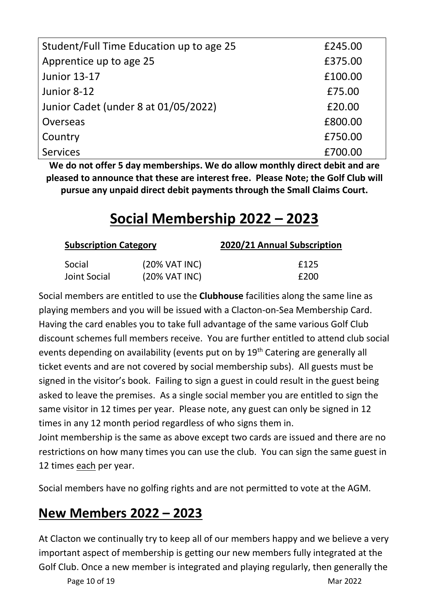| Student/Full Time Education up to age 25 | £245.00 |
|------------------------------------------|---------|
| Apprentice up to age 25                  | £375.00 |
| <b>Junior 13-17</b>                      | £100.00 |
| Junior 8-12                              | £75.00  |
| Junior Cadet (under 8 at 01/05/2022)     | £20.00  |
| Overseas                                 | £800.00 |
| Country                                  | £750.00 |
| <b>Services</b>                          | £700.00 |

**We do not offer 5 day memberships. We do allow monthly direct debit and are pleased to announce that these are interest free. Please Note; the Golf Club will pursue any unpaid direct debit payments through the Small Claims Court.**

# **Social Membership 2022 – 2023**

| <b>Subscription Category</b> |                          | 2020/21 Annual Subscription |
|------------------------------|--------------------------|-----------------------------|
| Social                       | (20% VAT INC)            | £125                        |
| Joint Social                 | $(20\% \text{ VAT INC})$ | £200                        |

Social members are entitled to use the **Clubhouse** facilities along the same line as playing members and you will be issued with a Clacton-on-Sea Membership Card. Having the card enables you to take full advantage of the same various Golf Club discount schemes full members receive. You are further entitled to attend club social events depending on availability (events put on by 19<sup>th</sup> Catering are generally all ticket events and are not covered by social membership subs). All guests must be signed in the visitor's book. Failing to sign a guest in could result in the guest being asked to leave the premises. As a single social member you are entitled to sign the same visitor in 12 times per year. Please note, any guest can only be signed in 12 times in any 12 month period regardless of who signs them in.

Joint membership is the same as above except two cards are issued and there are no restrictions on how many times you can use the club. You can sign the same guest in 12 times each per year.

Social members have no golfing rights and are not permitted to vote at the AGM.

# **New Members 2022 – 2023**

At Clacton we continually try to keep all of our members happy and we believe a very important aspect of membership is getting our new members fully integrated at the Golf Club. Once a new member is integrated and playing regularly, then generally the

Page 10 of 19 Mar 2022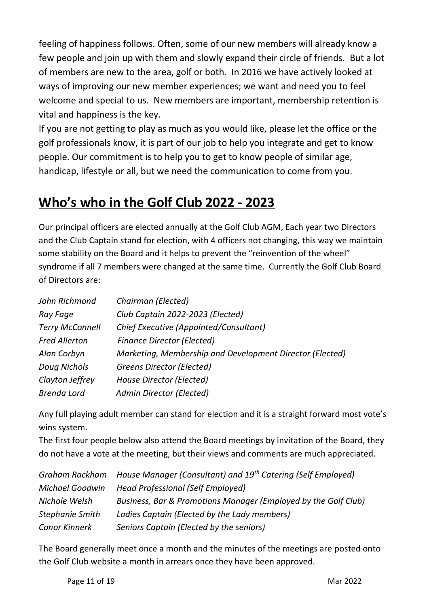feeling of happiness follows. Often, some of our new members will already know a few people and join up with them and slowly expand their circle of friends. But a lot of members are new to the area, golf or both. In 2016 we have actively looked at ways of improving our new member experiences; we want and need you to feel welcome and special to us. New members are important, membership retention is vital and happiness is the key.

If you are not getting to play as much as you would like, please let the office or the golf professionals know, it is part of our job to help you integrate and get to know people. Our commitment is to help you to get to know people of similar age, handicap, lifestyle or all, but we need the communication to come from you.

# **Who's who in the Golf Club 2022 - 2023**

Our principal officers are elected annually at the Golf Club AGM, Each year two Directors and the Club Captain stand for election, with 4 officers not changing, this way we maintain some stability on the Board and it helps to prevent the "reinvention of the wheel" syndrome if all 7 members were changed at the same time. Currently the Golf Club Board of Directors are:

| John Richmond          | Chairman (Elected)                                       |
|------------------------|----------------------------------------------------------|
| Ray Fage               | Club Captain 2022-2023 (Elected)                         |
| <b>Terry McConnell</b> | Chief Executive (Appointed/Consultant)                   |
| <b>Fred Allerton</b>   | <b>Finance Director (Elected)</b>                        |
| Alan Corbyn            | Marketing, Membership and Development Director (Elected) |
| Doug Nichols           | <b>Greens Director (Elected)</b>                         |
| Clayton Jeffrey        | House Director (Elected)                                 |
| <b>Brenda Lord</b>     | Admin Director (Elected)                                 |

Any full playing adult member can stand for election and it is a straight forward most vote's wins system.

The first four people below also attend the Board meetings by invitation of the Board, they do not have a vote at the meeting, but their views and comments are much appreciated.

|                      | Graham Rackham House Manager (Consultant) and 19 <sup>th</sup> Catering (Self Employed) |
|----------------------|-----------------------------------------------------------------------------------------|
| Michael Goodwin      | <b>Head Professional (Self Employed)</b>                                                |
| Nichole Welsh        | Business, Bar & Promotions Manager (Employed by the Golf Club)                          |
| Stephanie Smith      | Ladies Captain (Elected by the Lady members)                                            |
| <b>Conor Kinnerk</b> | Seniors Captain (Elected by the seniors)                                                |

The Board generally meet once a month and the minutes of the meetings are posted onto the Golf Club website a month in arrears once they have been approved.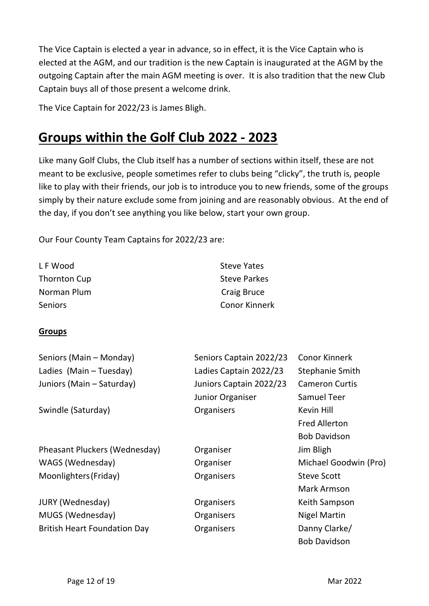The Vice Captain is elected a year in advance, so in effect, it is the Vice Captain who is elected at the AGM, and our tradition is the new Captain is inaugurated at the AGM by the outgoing Captain after the main AGM meeting is over. It is also tradition that the new Club Captain buys all of those present a welcome drink.

The Vice Captain for 2022/23 is James Bligh.

# **Groups within the Golf Club 2022 - 2023**

Like many Golf Clubs, the Club itself has a number of sections within itself, these are not meant to be exclusive, people sometimes refer to clubs being "clicky", the truth is, people like to play with their friends, our job is to introduce you to new friends, some of the groups simply by their nature exclude some from joining and are reasonably obvious. At the end of the day, if you don't see anything you like below, start your own group.

Our Four County Team Captains for 2022/23 are:

| L F Wood       | <b>Steve Yates</b>   |
|----------------|----------------------|
| Thornton Cup   | <b>Steve Parkes</b>  |
| Norman Plum    | Craig Bruce          |
| <b>Seniors</b> | <b>Conor Kinnerk</b> |

#### **Groups**

| Seniors (Main - Monday)             | Seniors Captain 2022/23 | <b>Conor Kinnerk</b>   |
|-------------------------------------|-------------------------|------------------------|
| Ladies (Main - Tuesday)             | Ladies Captain 2022/23  | <b>Stephanie Smith</b> |
| Juniors (Main - Saturday)           | Juniors Captain 2022/23 | <b>Cameron Curtis</b>  |
|                                     | Junior Organiser        | Samuel Teer            |
| Swindle (Saturday)                  | Organisers              | Kevin Hill             |
|                                     |                         | <b>Fred Allerton</b>   |
|                                     |                         | <b>Bob Davidson</b>    |
| Pheasant Pluckers (Wednesday)       | Organiser               | Jim Bligh              |
| WAGS (Wednesday)                    | Organiser               | Michael Goodwin (Pro)  |
| Moonlighters (Friday)               | Organisers              | <b>Steve Scott</b>     |
|                                     |                         | <b>Mark Armson</b>     |
| <b>JURY (Wednesday)</b>             | Organisers              | Keith Sampson          |
| MUGS (Wednesday)                    | Organisers              | <b>Nigel Martin</b>    |
| <b>British Heart Foundation Day</b> | Organisers              | Danny Clarke/          |
|                                     |                         | <b>Bob Davidson</b>    |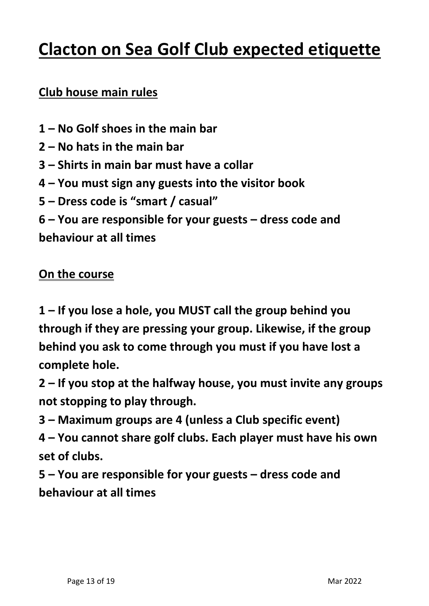# **Clacton on Sea Golf Club expected etiquette**

## **Club house main rules**

- **1 – No Golf shoes in the main bar**
- **2 – No hats in the main bar**
- **3 – Shirts in main bar must have a collar**
- **4 – You must sign any guests into the visitor book**
- **5 – Dress code is "smart / casual"**
- **6 – You are responsible for your guests – dress code and**

**behaviour at all times**

### **On the course**

**1 – If you lose a hole, you MUST call the group behind you through if they are pressing your group. Likewise, if the group behind you ask to come through you must if you have lost a complete hole.**

**2 – If you stop at the halfway house, you must invite any groups not stopping to play through.**

- **3 – Maximum groups are 4 (unless a Club specific event)**
- **4 – You cannot share golf clubs. Each player must have his own set of clubs.**

**5 – You are responsible for your guests – dress code and behaviour at all times**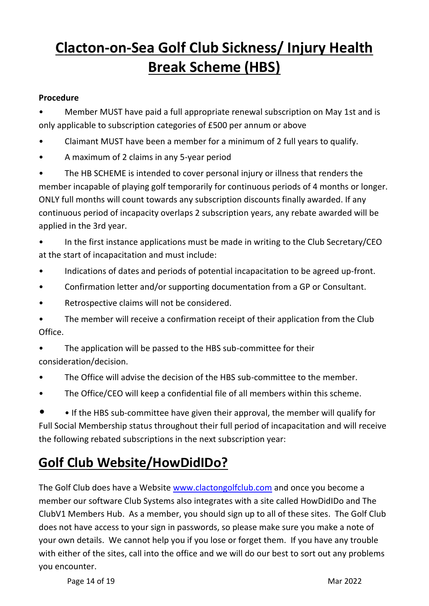# **Clacton-on-Sea Golf Club Sickness/ Injury Health Break Scheme (HBS)**

#### **Procedure**

• Member MUST have paid a full appropriate renewal subscription on May 1st and is only applicable to subscription categories of £500 per annum or above

• Claimant MUST have been a member for a minimum of 2 full years to qualify.

• A maximum of 2 claims in any 5-year period

The HB SCHEME is intended to cover personal injury or illness that renders the member incapable of playing golf temporarily for continuous periods of 4 months or longer. ONLY full months will count towards any subscription discounts finally awarded. If any continuous period of incapacity overlaps 2 subscription years, any rebate awarded will be applied in the 3rd year.

• In the first instance applications must be made in writing to the Club Secretary/CEO at the start of incapacitation and must include:

- Indications of dates and periods of potential incapacitation to be agreed up-front.
- Confirmation letter and/or supporting documentation from a GP or Consultant.
- Retrospective claims will not be considered.

The member will receive a confirmation receipt of their application from the Club Office.

• The application will be passed to the HBS sub-committee for their consideration/decision.

- The Office will advise the decision of the HBS sub-committee to the member.
- The Office/CEO will keep a confidential file of all members within this scheme.

• • If the HBS sub-committee have given their approval, the member will qualify for Full Social Membership status throughout their full period of incapacitation and will receive the following rebated subscriptions in the next subscription year:

# **Golf Club Website/HowDidIDo?**

The Golf Club does have a Website [www.clactongolfclub.com](http://www.clactongolfclub.com/) and once you become a member our software Club Systems also integrates with a site called HowDidIDo and The ClubV1 Members Hub. As a member, you should sign up to all of these sites. The Golf Club does not have access to your sign in passwords, so please make sure you make a note of your own details. We cannot help you if you lose or forget them. If you have any trouble with either of the sites, call into the office and we will do our best to sort out any problems you encounter.

Page 14 of 19 Mar 2022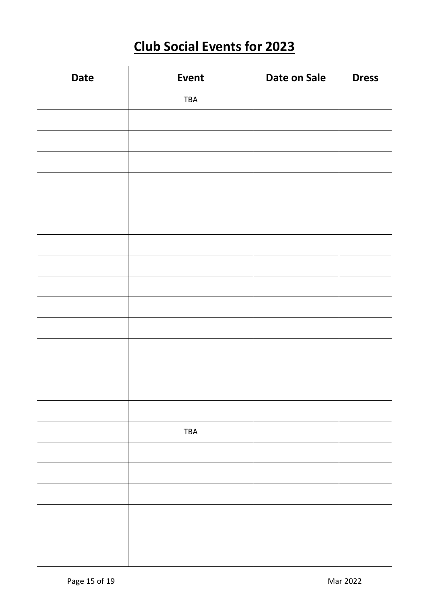# **Club Social Events for 2023**

| <b>Date</b> | <b>Event</b> | Date on Sale | <b>Dress</b> |
|-------------|--------------|--------------|--------------|
|             | TBA          |              |              |
|             |              |              |              |
|             |              |              |              |
|             |              |              |              |
|             |              |              |              |
|             |              |              |              |
|             |              |              |              |
|             |              |              |              |
|             |              |              |              |
|             |              |              |              |
|             |              |              |              |
|             |              |              |              |
|             |              |              |              |
|             |              |              |              |
|             |              |              |              |
|             |              |              |              |
|             | TBA          |              |              |
|             |              |              |              |
|             |              |              |              |
|             |              |              |              |
|             |              |              |              |
|             |              |              |              |
|             |              |              |              |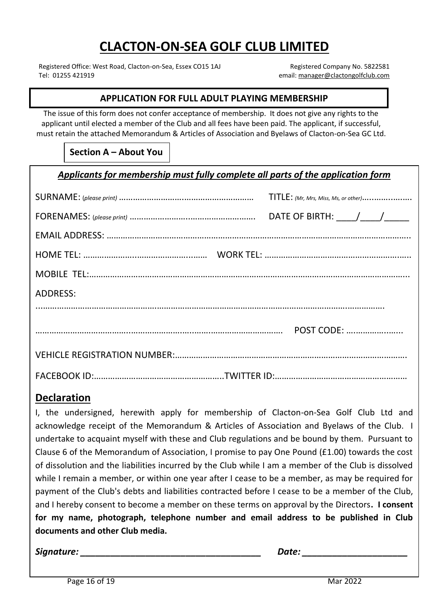# **CLACTON-ON-SEA GOLF CLUB LIMITED**

Registered Office: West Road, Clacton-on-Sea, Essex CO15 1AJ Registered Company No. 5822581<br>Tel: 01255 421919 remail: manager@clactongolfclub.com

email: [manager@clactongolfclub.com](mailto:manager@clactongolfclub.com)

#### **APPLICATION FOR FULL ADULT PLAYING MEMBERSHIP**

The issue of this form does not confer acceptance of membership. It does not give any rights to the applicant until elected a member of the Club and all fees have been paid. The applicant, if successful, must retain the attached Memorandum & Articles of Association and Byelaws of Clacton-on-Sea GC Ltd.

**Section A – About You**

*Applicants for membership must fully complete all parts of the application form*

|                 | $TITE:$ (Mr, Mrs, Miss, Ms, or other) |
|-----------------|---------------------------------------|
|                 |                                       |
|                 |                                       |
|                 |                                       |
|                 |                                       |
| <b>ADDRESS:</b> |                                       |
|                 |                                       |
|                 |                                       |
|                 |                                       |
|                 |                                       |

#### **Declaration**

**COLORGIST COLORGIST CONSTRUCTED documents and other Club media.** I, the undersigned, herewith apply for membership of Clacton-on-Sea Golf Club Ltd and acknowledge receipt of the Memorandum & Articles of Association and Byelaws of the Club. I undertake to acquaint myself with these and Club regulations and be bound by them. Pursuant to Clause 6 of the Memorandum of Association, I promise to pay One Pound (£1.00) towards the cost of dissolution and the liabilities incurred by the Club while I am a member of the Club is dissolved while I remain a member, or within one year after I cease to be a member, as may be required for payment of the Club's debts and liabilities contracted before I cease to be a member of the Club, and I hereby consent to become a member on these terms on approval by the Directors**. I consent for my name, photograph, telephone number and email address to be published in Club** 

*Signature: \_\_\_\_\_\_\_\_\_\_\_\_\_\_\_\_\_\_\_\_\_\_\_\_\_\_\_\_\_\_\_\_\_\_\_\_ Date: \_\_\_\_\_\_\_\_\_\_\_\_\_\_\_\_\_\_\_\_\_*

**Confidential Personal Questionnaire**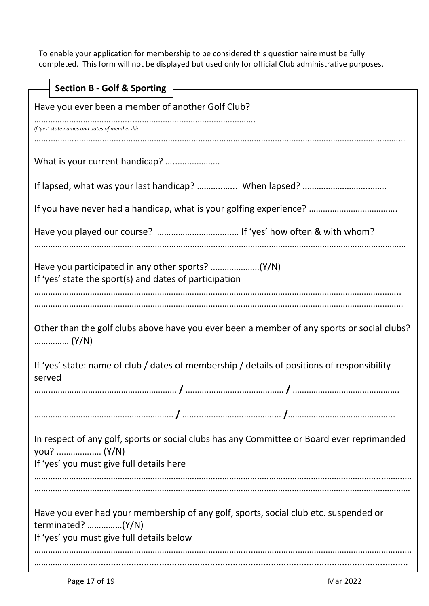To enable your application for membership to be considered this questionnaire must be fully completed. This form will not be displayed but used only for official Club administrative purposes.

| <b>Section B - Golf &amp; Sporting</b>                                                                                                                   |  |
|----------------------------------------------------------------------------------------------------------------------------------------------------------|--|
| Have you ever been a member of another Golf Club?                                                                                                        |  |
| If 'yes' state names and dates of membership                                                                                                             |  |
| What is your current handicap?                                                                                                                           |  |
|                                                                                                                                                          |  |
|                                                                                                                                                          |  |
|                                                                                                                                                          |  |
| If 'yes' state the sport(s) and dates of participation                                                                                                   |  |
| Other than the golf clubs above have you ever been a member of any sports or social clubs?                                                               |  |
| If 'yes' state: name of club / dates of membership / details of positions of responsibility<br>served                                                    |  |
|                                                                                                                                                          |  |
|                                                                                                                                                          |  |
| In respect of any golf, sports or social clubs has any Committee or Board ever reprimanded<br>If 'yes' you must give full details here                   |  |
|                                                                                                                                                          |  |
| Have you ever had your membership of any golf, sports, social club etc. suspended or<br>terminated? $(Y/N)$<br>If 'yes' you must give full details below |  |
|                                                                                                                                                          |  |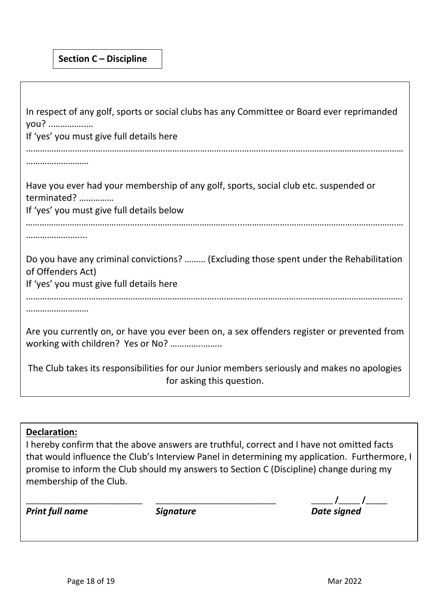| In respect of any golf, sports or social clubs has any Committee or Board ever reprimanded<br>you?<br>If 'yes' you must give full details here          |
|---------------------------------------------------------------------------------------------------------------------------------------------------------|
|                                                                                                                                                         |
| Have you ever had your membership of any golf, sports, social club etc. suspended or<br>terminated?<br>If 'yes' you must give full details below        |
|                                                                                                                                                         |
| Do you have any criminal convictions?  (Excluding those spent under the Rehabilitation<br>of Offenders Act)<br>If 'yes' you must give full details here |
|                                                                                                                                                         |
| Are you currently on, or have you ever been on, a sex offenders register or prevented from                                                              |
| The Club takes its responsibilities for our Junior members seriously and makes no apologies<br>for asking this question.                                |
|                                                                                                                                                         |

#### **Declaration:**

I hereby confirm that the above answers are truthful, correct and I have not omitted facts that would influence the Club's Interview Panel in determining my application. Furthermore, I promise to inform the Club should my answers to Section C (Discipline) change during my membership of the Club.

*Print full name Signature Date signed*

\_\_\_\_\_\_\_\_\_\_\_\_\_\_\_\_\_\_\_\_\_\_\_\_\_\_\_ \_\_\_\_\_\_\_\_\_\_\_\_\_\_\_\_\_\_\_\_\_\_\_\_\_\_\_\_ \_\_\_\_\_ **/**\_\_\_\_\_ **/**\_\_\_\_\_